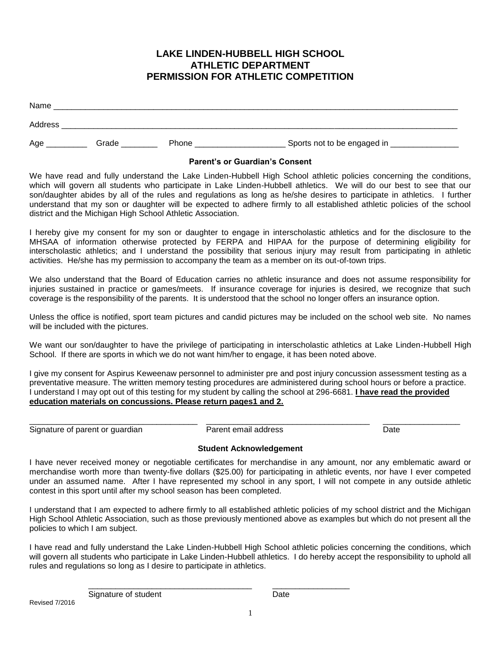## **LAKE LINDEN-HUBBELL HIGH SCHOOL ATHLETIC DEPARTMENT PERMISSION FOR ATHLETIC COMPETITION**

| Name    |       |       |                             |
|---------|-------|-------|-----------------------------|
| Address |       |       |                             |
| Age     | Grade | Phone | Sports not to be engaged in |

#### **Parent's or Guardian's Consent**

We have read and fully understand the Lake Linden-Hubbell High School athletic policies concerning the conditions, which will govern all students who participate in Lake Linden-Hubbell athletics. We will do our best to see that our son/daughter abides by all of the rules and regulations as long as he/she desires to participate in athletics. I further understand that my son or daughter will be expected to adhere firmly to all established athletic policies of the school district and the Michigan High School Athletic Association.

I hereby give my consent for my son or daughter to engage in interscholastic athletics and for the disclosure to the MHSAA of information otherwise protected by FERPA and HIPAA for the purpose of determining eligibility for interscholastic athletics; and I understand the possibility that serious injury may result from participating in athletic activities. He/she has my permission to accompany the team as a member on its out-of-town trips.

We also understand that the Board of Education carries no athletic insurance and does not assume responsibility for injuries sustained in practice or games/meets. If insurance coverage for injuries is desired, we recognize that such coverage is the responsibility of the parents. It is understood that the school no longer offers an insurance option.

Unless the office is notified, sport team pictures and candid pictures may be included on the school web site. No names will be included with the pictures.

We want our son/daughter to have the privilege of participating in interscholastic athletics at Lake Linden-Hubbell High School. If there are sports in which we do not want him/her to engage, it has been noted above.

I give my consent for Aspirus Keweenaw personnel to administer pre and post injury concussion assessment testing as a preventative measure. The written memory testing procedures are administered during school hours or before a practice. I understand I may opt out of this testing for my student by calling the school at 296-6681. **I have read the provided education materials on concussions. Please return pages1 and 2.**

Signature of parent or guardian **Parent email address** Pate Date

 $\_$  ,  $\_$  ,  $\_$  ,  $\_$  ,  $\_$  ,  $\_$  ,  $\_$  ,  $\_$  ,  $\_$  ,  $\_$  ,  $\_$  ,  $\_$  ,  $\_$  ,  $\_$  ,  $\_$  ,  $\_$  ,  $\_$  ,  $\_$  ,  $\_$  ,  $\_$  ,  $\_$  ,  $\_$  ,  $\_$  ,  $\_$  ,  $\_$  ,  $\_$  ,  $\_$  ,  $\_$  ,  $\_$  ,  $\_$  ,  $\_$  ,  $\_$  ,  $\_$  ,  $\_$  ,  $\_$  ,  $\_$  ,  $\_$  ,

#### **Student Acknowledgement**

I have never received money or negotiable certificates for merchandise in any amount, nor any emblematic award or merchandise worth more than twenty-five dollars (\$25.00) for participating in athletic events, nor have I ever competed under an assumed name. After I have represented my school in any sport, I will not compete in any outside athletic contest in this sport until after my school season has been completed.

I understand that I am expected to adhere firmly to all established athletic policies of my school district and the Michigan High School Athletic Association, such as those previously mentioned above as examples but which do not present all the policies to which I am subject.

I have read and fully understand the Lake Linden-Hubbell High School athletic policies concerning the conditions, which will govern all students who participate in Lake Linden-Hubbell athletics. I do hereby accept the responsibility to uphold all rules and regulations so long as I desire to participate in athletics.

\_\_\_\_\_\_\_\_\_\_\_\_\_\_\_\_\_\_\_\_\_\_\_\_\_\_\_\_\_\_\_\_\_\_\_\_ \_\_\_\_\_\_\_\_\_\_\_\_\_\_\_\_\_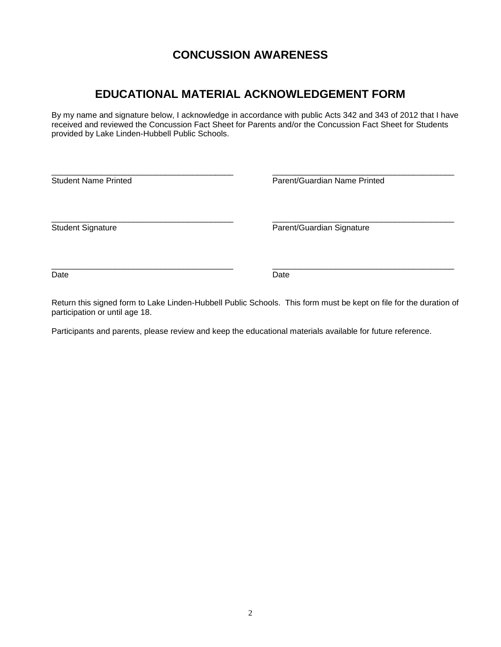# **CONCUSSION AWARENESS**

# **EDUCATIONAL MATERIAL ACKNOWLEDGEMENT FORM**

By my name and signature below, I acknowledge in accordance with public Acts 342 and 343 of 2012 that I have received and reviewed the Concussion Fact Sheet for Parents and/or the Concussion Fact Sheet for Students provided by Lake Linden-Hubbell Public Schools.

| <b>Student Name Printed</b> | Parent/Guardian Name Printed |  |
|-----------------------------|------------------------------|--|
| <b>Student Signature</b>    | Parent/Guardian Signature    |  |
| Date                        | Date                         |  |

Return this signed form to Lake Linden-Hubbell Public Schools. This form must be kept on file for the duration of participation or until age 18.

Participants and parents, please review and keep the educational materials available for future reference.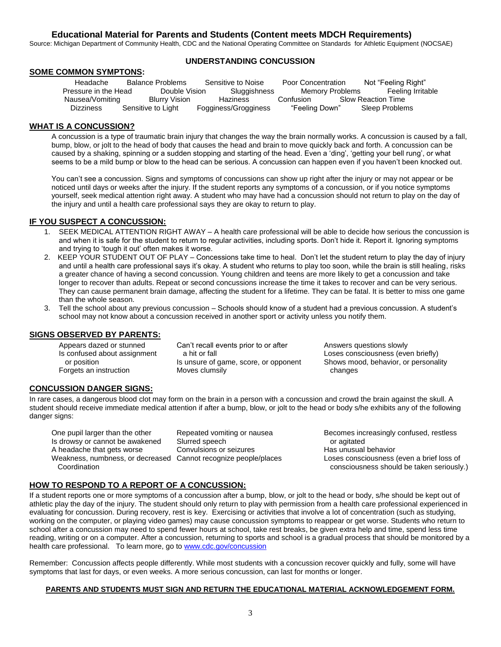#### **Educational Material for Parents and Students (Content meets MDCH Requirements)**

Source: Michigan Department of Community Health, CDC and the National Operating Committee on Standards for Athletic Equipment (NOCSAE)

#### **SOME COMMON SYMPTONS:**

#### **UNDERSTANDING CONCUSSION**

Headache Balance Problems Sensitive to Noise Poor Concentration Not "Feeling Right" Pressure in the Head Double Vision Sluggishness Memory Problems Feeling Irritable<br>Nausea/Vomiting Blurry Vision Haziness Confusion Slow Reaction Time **Nauseally Blurry Vision** Haziness Confusion Slow Reaction Time Dizziness Sensitive to Light Fogginess/Grogginess "Feeling Down" Sleep Problems

#### **WHAT IS A CONCUSSION?**

A concussion is a type of traumatic brain injury that changes the way the brain normally works. A concussion is caused by a fall, bump, blow, or jolt to the head of body that causes the head and brain to move quickly back and forth. A concussion can be caused by a shaking, spinning or a sudden stopping and starting of the head. Even a 'ding', 'getting your bell rung', or what seems to be a mild bump or blow to the head can be serious. A concussion can happen even if you haven't been knocked out.

You can't see a concussion. Signs and symptoms of concussions can show up right after the injury or may not appear or be noticed until days or weeks after the injury. If the student reports any symptoms of a concussion, or if you notice symptoms yourself, seek medical attention right away. A student who may have had a concussion should not return to play on the day of the injury and until a health care professional says they are okay to return to play.

#### **IF YOU SUSPECT A CONCUSSION:**

- 1. SEEK MEDICAL ATTENTION RIGHT AWAY A health care professional will be able to decide how serious the concussion is and when it is safe for the student to return to regular activities, including sports. Don't hide it. Report it. Ignoring symptoms and trying to 'tough it out' often makes it worse.
- 2. KEEP YOUR STUDENT OUT OF PLAY Concessions take time to heal. Don't let the student return to play the day of injury and until a health care professional says it's okay. A student who returns to play too soon, while the brain is still healing, risks a greater chance of having a second concussion. Young children and teens are more likely to get a concussion and take longer to recover than adults. Repeat or second concussions increase the time it takes to recover and can be very serious. They can cause permanent brain damage, affecting the student for a lifetime. They can be fatal. It is better to miss one game than the whole season.
- 3. Tell the school about any previous concussion Schools should know of a student had a previous concussion. A student's school may not know about a concussion received in another sport or activity unless you notify them.

#### **SIGNS OBSERVED BY PARENTS:**

Appears dazed or stunned Can't recall events prior to or after Answers questions slowly

Is confused about assignment a hit or fall loses consciousness (even briefly) Forgets an instruction Moves clumsily changes

or position Is unsure of game, score, or opponent Shows mood, behavior, or personality

#### **CONCUSSION DANGER SIGNS:**

In rare cases, a dangerous blood clot may form on the brain in a person with a concussion and crowd the brain against the skull. A student should receive immediate medical attention if after a bump, blow, or jolt to the head or body s/he exhibits any of the following danger signs:

Is drowsy or cannot be awakened Slurred speech<br>
A headache that gets worse Convulsions or seizures Thas unusual behavior Weakness, numbness, or decreased Cannot recognize people/places<br>Coordination

One pupil larger than the other Repeated vomiting or nausea Becomes increasingly confused, restless A headache that gets worse Convulsions or seizures Has unusual behavior<br>Weakness, numbness, or decreased Cannot recognize people/places Loses consciousness (even a brief loss of consciousness should be taken seriously.)

#### **HOW TO RESPOND TO A REPORT OF A CONCUSSION:**

If a student reports one or more symptoms of a concussion after a bump, blow, or jolt to the head or body, s/he should be kept out of athletic play the day of the injury. The student should only return to play with permission from a health care professional experienced in evaluating for concussion. During recovery, rest is key. Exercising or activities that involve a lot of concentration (such as studying, working on the computer, or playing video games) may cause concussion symptoms to reappear or get worse. Students who return to school after a concussion may need to spend fewer hours at school, take rest breaks, be given extra help and time, spend less time reading, writing or on a computer. After a concussion, returning to sports and school is a gradual process that should be monitored by a health care professional. To learn more, go to [www.cdc.gov/concussion](http://www.cdc.gov/concussion)

Remember: Concussion affects people differently. While most students with a concussion recover quickly and fully, some will have symptoms that last for days, or even weeks. A more serious concussion, can last for months or longer.

#### **PARENTS AND STUDENTS MUST SIGN AND RETURN THE EDUCATIONAL MATERIAL ACKNOWLEDGEMENT FORM.**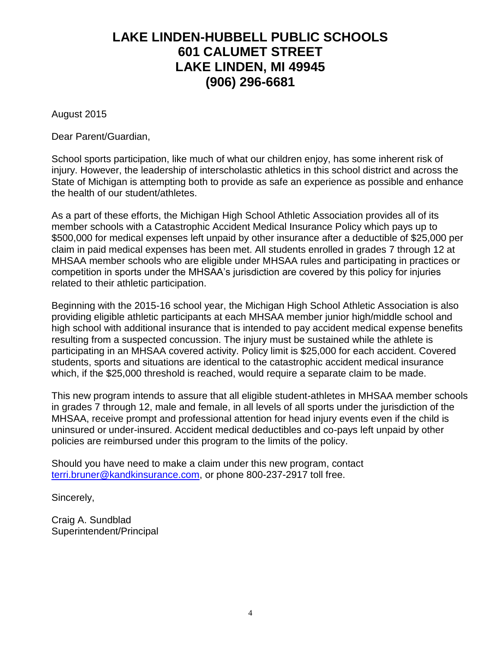# **LAKE LINDEN-HUBBELL PUBLIC SCHOOLS 601 CALUMET STREET LAKE LINDEN, MI 49945 (906) 296-6681**

August 2015

Dear Parent/Guardian,

School sports participation, like much of what our children enjoy, has some inherent risk of injury. However, the leadership of interscholastic athletics in this school district and across the State of Michigan is attempting both to provide as safe an experience as possible and enhance the health of our student/athletes.

As a part of these efforts, the Michigan High School Athletic Association provides all of its member schools with a Catastrophic Accident Medical Insurance Policy which pays up to \$500,000 for medical expenses left unpaid by other insurance after a deductible of \$25,000 per claim in paid medical expenses has been met. All students enrolled in grades 7 through 12 at MHSAA member schools who are eligible under MHSAA rules and participating in practices or competition in sports under the MHSAA's jurisdiction are covered by this policy for injuries related to their athletic participation.

Beginning with the 2015-16 school year, the Michigan High School Athletic Association is also providing eligible athletic participants at each MHSAA member junior high/middle school and high school with additional insurance that is intended to pay accident medical expense benefits resulting from a suspected concussion. The injury must be sustained while the athlete is participating in an MHSAA covered activity. Policy limit is \$25,000 for each accident. Covered students, sports and situations are identical to the catastrophic accident medical insurance which, if the \$25,000 threshold is reached, would require a separate claim to be made.

This new program intends to assure that all eligible student-athletes in MHSAA member schools in grades 7 through 12, male and female, in all levels of all sports under the jurisdiction of the MHSAA, receive prompt and professional attention for head injury events even if the child is uninsured or under-insured. Accident medical deductibles and co-pays left unpaid by other policies are reimbursed under this program to the limits of the policy.

Should you have need to make a claim under this new program, contact [terri.bruner@kandkinsurance.com,](mailto:terri.bruner@kandkinsurance.com) or phone 800-237-2917 toll free.

Sincerely,

Craig A. Sundblad Superintendent/Principal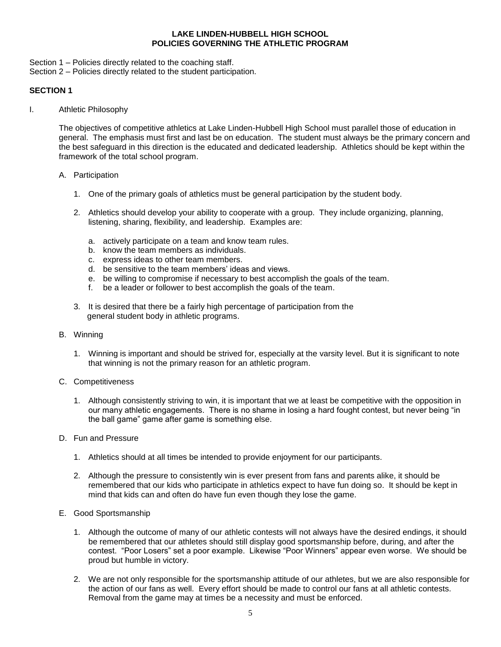#### **LAKE LINDEN-HUBBELL HIGH SCHOOL POLICIES GOVERNING THE ATHLETIC PROGRAM**

- Section 1 Policies directly related to the coaching staff.
- Section 2 Policies directly related to the student participation.

#### **SECTION 1**

I. Athletic Philosophy

The objectives of competitive athletics at Lake Linden-Hubbell High School must parallel those of education in general. The emphasis must first and last be on education. The student must always be the primary concern and the best safeguard in this direction is the educated and dedicated leadership. Athletics should be kept within the framework of the total school program.

- A. Participation
	- 1. One of the primary goals of athletics must be general participation by the student body.
	- 2. Athletics should develop your ability to cooperate with a group. They include organizing, planning, listening, sharing, flexibility, and leadership. Examples are:
		- a. actively participate on a team and know team rules.
		- b. know the team members as individuals.
		- c. express ideas to other team members.
		- d. be sensitive to the team members' ideas and views.
		- e. be willing to compromise if necessary to best accomplish the goals of the team.
		- f. be a leader or follower to best accomplish the goals of the team.
	- 3. It is desired that there be a fairly high percentage of participation from the general student body in athletic programs.
- B. Winning
	- 1. Winning is important and should be strived for, especially at the varsity level. But it is significant to note that winning is not the primary reason for an athletic program.
- C. Competitiveness
	- 1. Although consistently striving to win, it is important that we at least be competitive with the opposition in our many athletic engagements. There is no shame in losing a hard fought contest, but never being "in the ball game" game after game is something else.
- D. Fun and Pressure
	- 1. Athletics should at all times be intended to provide enjoyment for our participants.
	- 2. Although the pressure to consistently win is ever present from fans and parents alike, it should be remembered that our kids who participate in athletics expect to have fun doing so. It should be kept in mind that kids can and often do have fun even though they lose the game.
- E. Good Sportsmanship
	- 1. Although the outcome of many of our athletic contests will not always have the desired endings, it should be remembered that our athletes should still display good sportsmanship before, during, and after the contest. "Poor Losers" set a poor example. Likewise "Poor Winners" appear even worse. We should be proud but humble in victory.
	- 2. We are not only responsible for the sportsmanship attitude of our athletes, but we are also responsible for the action of our fans as well. Every effort should be made to control our fans at all athletic contests. Removal from the game may at times be a necessity and must be enforced.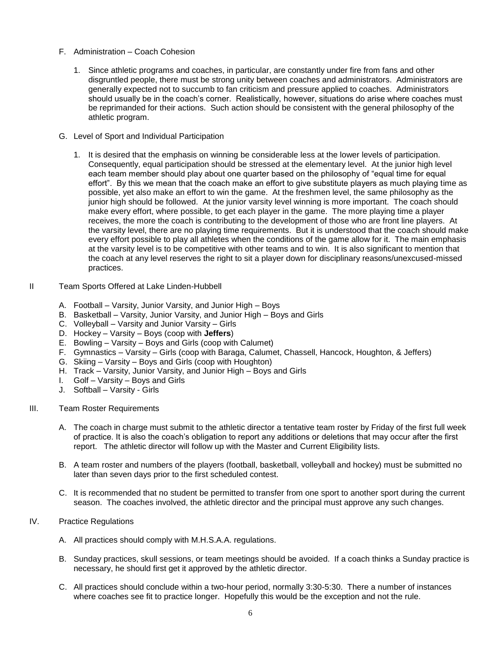- F. Administration Coach Cohesion
	- 1. Since athletic programs and coaches, in particular, are constantly under fire from fans and other disgruntled people, there must be strong unity between coaches and administrators. Administrators are generally expected not to succumb to fan criticism and pressure applied to coaches. Administrators should usually be in the coach's corner. Realistically, however, situations do arise where coaches must be reprimanded for their actions. Such action should be consistent with the general philosophy of the athletic program.
- G. Level of Sport and Individual Participation
	- 1. It is desired that the emphasis on winning be considerable less at the lower levels of participation. Consequently, equal participation should be stressed at the elementary level. At the junior high level each team member should play about one quarter based on the philosophy of "equal time for equal effort". By this we mean that the coach make an effort to give substitute players as much playing time as possible, yet also make an effort to win the game. At the freshmen level, the same philosophy as the junior high should be followed. At the junior varsity level winning is more important. The coach should make every effort, where possible, to get each player in the game. The more playing time a player receives, the more the coach is contributing to the development of those who are front line players. At the varsity level, there are no playing time requirements. But it is understood that the coach should make every effort possible to play all athletes when the conditions of the game allow for it. The main emphasis at the varsity level is to be competitive with other teams and to win. It is also significant to mention that the coach at any level reserves the right to sit a player down for disciplinary reasons/unexcused-missed practices.
- II Team Sports Offered at Lake Linden-Hubbell
	- A. Football Varsity, Junior Varsity, and Junior High Boys
	- B. Basketball Varsity, Junior Varsity, and Junior High Boys and Girls
	- C. Volleyball Varsity and Junior Varsity Girls
	- D. Hockey Varsity Boys (coop with **Jeffers**)
	- E. Bowling Varsity Boys and Girls (coop with Calumet)
	- F. Gymnastics Varsity Girls (coop with Baraga, Calumet, Chassell, Hancock, Houghton, & Jeffers)
	- G. Skiing Varsity Boys and Girls (coop with Houghton)
	- H. Track Varsity, Junior Varsity, and Junior High Boys and Girls
	- I. Golf Varsity Boys and Girls
	- J. Softball Varsity Girls
- III. Team Roster Requirements
	- A. The coach in charge must submit to the athletic director a tentative team roster by Friday of the first full week of practice. It is also the coach's obligation to report any additions or deletions that may occur after the first report. The athletic director will follow up with the Master and Current Eligibility lists.
	- B. A team roster and numbers of the players (football, basketball, volleyball and hockey) must be submitted no later than seven days prior to the first scheduled contest.
	- C. It is recommended that no student be permitted to transfer from one sport to another sport during the current season. The coaches involved, the athletic director and the principal must approve any such changes.
- IV. Practice Regulations
	- A. All practices should comply with M.H.S.A.A. regulations.
	- B. Sunday practices, skull sessions, or team meetings should be avoided. If a coach thinks a Sunday practice is necessary, he should first get it approved by the athletic director.
	- C. All practices should conclude within a two-hour period, normally 3:30-5:30. There a number of instances where coaches see fit to practice longer. Hopefully this would be the exception and not the rule.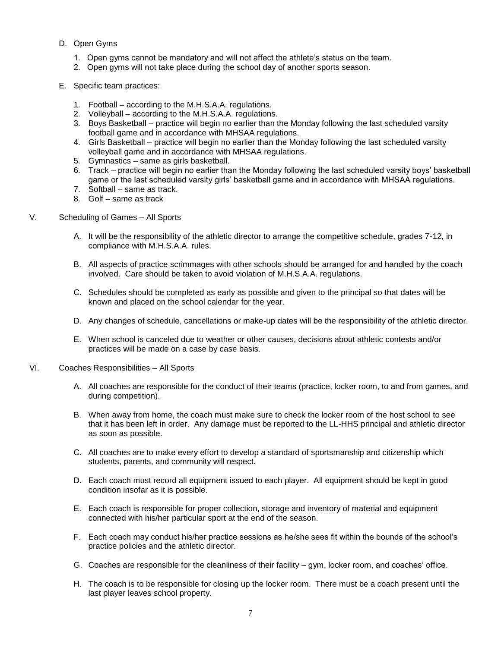- D. Open Gyms
	- 1. Open gyms cannot be mandatory and will not affect the athlete's status on the team.
	- 2. Open gyms will not take place during the school day of another sports season.
- E. Specific team practices:
	- 1. Football according to the M.H.S.A.A. regulations.
	- 2. Volleyball according to the M.H.S.A.A. regulations.
	- 3. Boys Basketball practice will begin no earlier than the Monday following the last scheduled varsity football game and in accordance with MHSAA regulations.
	- 4. Girls Basketball practice will begin no earlier than the Monday following the last scheduled varsity volleyball game and in accordance with MHSAA regulations.
	- 5. Gymnastics same as girls basketball.
	- 6. Track practice will begin no earlier than the Monday following the last scheduled varsity boys' basketball game or the last scheduled varsity girls' basketball game and in accordance with MHSAA regulations.
	- 7. Softball same as track.
	- 8. Golf same as track
- V. Scheduling of Games All Sports
	- A. It will be the responsibility of the athletic director to arrange the competitive schedule, grades 7-12, in compliance with M.H.S.A.A. rules.
	- B. All aspects of practice scrimmages with other schools should be arranged for and handled by the coach involved. Care should be taken to avoid violation of M.H.S.A.A. regulations.
	- C. Schedules should be completed as early as possible and given to the principal so that dates will be known and placed on the school calendar for the year.
	- D. Any changes of schedule, cancellations or make-up dates will be the responsibility of the athletic director.
	- E. When school is canceled due to weather or other causes, decisions about athletic contests and/or practices will be made on a case by case basis.
- VI. Coaches Responsibilities All Sports
	- A. All coaches are responsible for the conduct of their teams (practice, locker room, to and from games, and during competition).
	- B. When away from home, the coach must make sure to check the locker room of the host school to see that it has been left in order. Any damage must be reported to the LL-HHS principal and athletic director as soon as possible.
	- C. All coaches are to make every effort to develop a standard of sportsmanship and citizenship which students, parents, and community will respect.
	- D. Each coach must record all equipment issued to each player. All equipment should be kept in good condition insofar as it is possible.
	- E. Each coach is responsible for proper collection, storage and inventory of material and equipment connected with his/her particular sport at the end of the season.
	- F. Each coach may conduct his/her practice sessions as he/she sees fit within the bounds of the school's practice policies and the athletic director.
	- G. Coaches are responsible for the cleanliness of their facility gym, locker room, and coaches' office.
	- H. The coach is to be responsible for closing up the locker room. There must be a coach present until the last player leaves school property.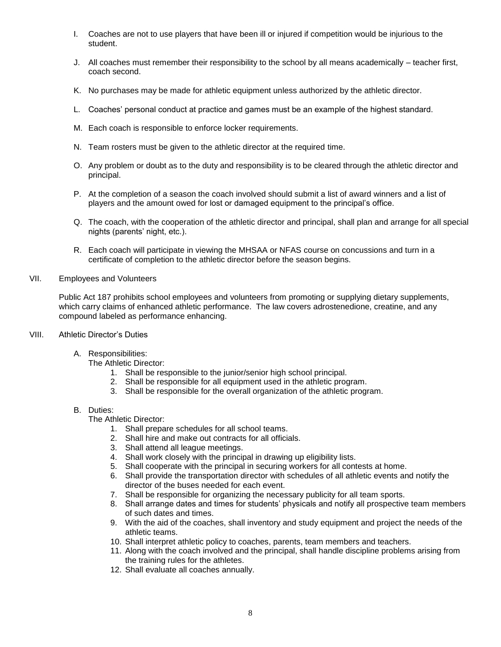- I. Coaches are not to use players that have been ill or injured if competition would be injurious to the student.
- J. All coaches must remember their responsibility to the school by all means academically teacher first, coach second.
- K. No purchases may be made for athletic equipment unless authorized by the athletic director.
- L. Coaches' personal conduct at practice and games must be an example of the highest standard.
- M. Each coach is responsible to enforce locker requirements.
- N. Team rosters must be given to the athletic director at the required time.
- O. Any problem or doubt as to the duty and responsibility is to be cleared through the athletic director and principal.
- P. At the completion of a season the coach involved should submit a list of award winners and a list of players and the amount owed for lost or damaged equipment to the principal's office.
- Q. The coach, with the cooperation of the athletic director and principal, shall plan and arrange for all special nights (parents' night, etc.).
- R. Each coach will participate in viewing the MHSAA or NFAS course on concussions and turn in a certificate of completion to the athletic director before the season begins.
- VII. Employees and Volunteers

Public Act 187 prohibits school employees and volunteers from promoting or supplying dietary supplements, which carry claims of enhanced athletic performance. The law covers adrostenedione, creatine, and any compound labeled as performance enhancing.

- VIII. Athletic Director's Duties
	- A. Responsibilities:

The Athletic Director:

- 1. Shall be responsible to the junior/senior high school principal.
- 2. Shall be responsible for all equipment used in the athletic program.
- 3. Shall be responsible for the overall organization of the athletic program.

#### B. Duties:

The Athletic Director:

- 1. Shall prepare schedules for all school teams.
- 2. Shall hire and make out contracts for all officials.
- 3. Shall attend all league meetings.
- 4. Shall work closely with the principal in drawing up eligibility lists.
- 5. Shall cooperate with the principal in securing workers for all contests at home.
- 6. Shall provide the transportation director with schedules of all athletic events and notify the director of the buses needed for each event.
- 7. Shall be responsible for organizing the necessary publicity for all team sports.
- 8. Shall arrange dates and times for students' physicals and notify all prospective team members of such dates and times.
- 9. With the aid of the coaches, shall inventory and study equipment and project the needs of the athletic teams.
- 10. Shall interpret athletic policy to coaches, parents, team members and teachers.
- 11. Along with the coach involved and the principal, shall handle discipline problems arising from the training rules for the athletes.
- 12. Shall evaluate all coaches annually.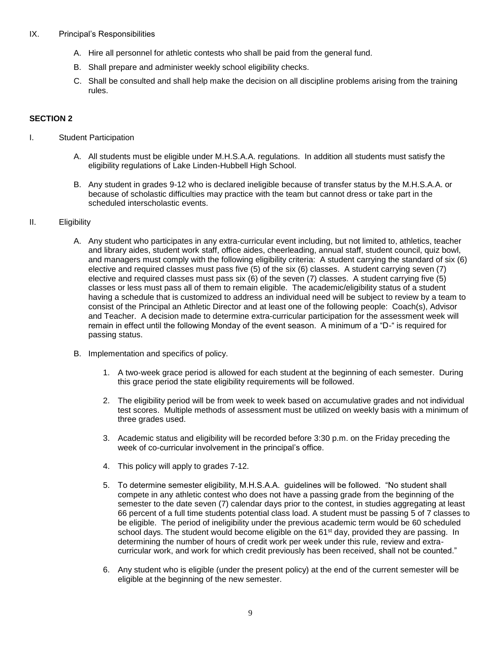#### IX. Principal's Responsibilities

- A. Hire all personnel for athletic contests who shall be paid from the general fund.
- B. Shall prepare and administer weekly school eligibility checks.
- C. Shall be consulted and shall help make the decision on all discipline problems arising from the training rules.

#### **SECTION 2**

- I. Student Participation
	- A. All students must be eligible under M.H.S.A.A. regulations. In addition all students must satisfy the eligibility regulations of Lake Linden-Hubbell High School.
	- B. Any student in grades 9-12 who is declared ineligible because of transfer status by the M.H.S.A.A. or because of scholastic difficulties may practice with the team but cannot dress or take part in the scheduled interscholastic events.

#### II. Eligibility

- A. Any student who participates in any extra-curricular event including, but not limited to, athletics, teacher and library aides, student work staff, office aides, cheerleading, annual staff, student council, quiz bowl, and managers must comply with the following eligibility criteria: A student carrying the standard of six (6) elective and required classes must pass five (5) of the six (6) classes. A student carrying seven (7) elective and required classes must pass six (6) of the seven (7) classes. A student carrying five (5) classes or less must pass all of them to remain eligible. The academic/eligibility status of a student having a schedule that is customized to address an individual need will be subject to review by a team to consist of the Principal an Athletic Director and at least one of the following people: Coach(s), Advisor and Teacher. A decision made to determine extra-curricular participation for the assessment week will remain in effect until the following Monday of the event season. A minimum of a "D-" is required for passing status.
- B. Implementation and specifics of policy.
	- 1. A two-week grace period is allowed for each student at the beginning of each semester. During this grace period the state eligibility requirements will be followed.
	- 2. The eligibility period will be from week to week based on accumulative grades and not individual test scores. Multiple methods of assessment must be utilized on weekly basis with a minimum of three grades used.
	- 3. Academic status and eligibility will be recorded before 3:30 p.m. on the Friday preceding the week of co-curricular involvement in the principal's office.
	- 4. This policy will apply to grades 7-12.
	- 5. To determine semester eligibility, M.H.S.A.A. guidelines will be followed. "No student shall compete in any athletic contest who does not have a passing grade from the beginning of the semester to the date seven (7) calendar days prior to the contest, in studies aggregating at least 66 percent of a full time students potential class load. A student must be passing 5 of 7 classes to be eligible. The period of ineligibility under the previous academic term would be 60 scheduled school days. The student would become eligible on the 61<sup>st</sup> day, provided they are passing. In determining the number of hours of credit work per week under this rule, review and extracurricular work, and work for which credit previously has been received, shall not be counted."
	- 6. Any student who is eligible (under the present policy) at the end of the current semester will be eligible at the beginning of the new semester.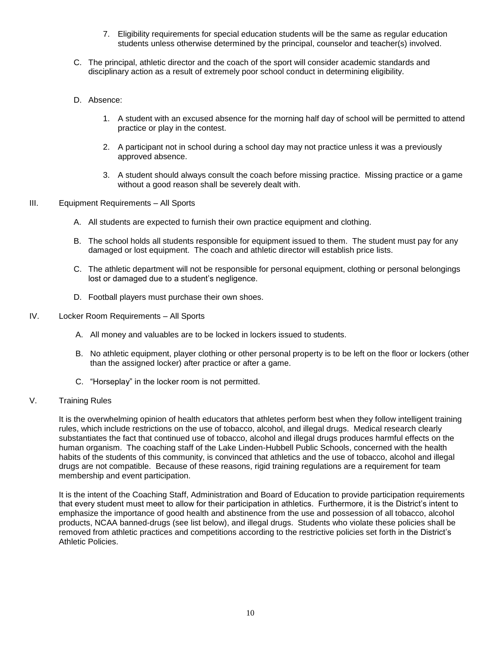- 7. Eligibility requirements for special education students will be the same as regular education students unless otherwise determined by the principal, counselor and teacher(s) involved.
- C. The principal, athletic director and the coach of the sport will consider academic standards and disciplinary action as a result of extremely poor school conduct in determining eligibility.
- D. Absence:
	- 1. A student with an excused absence for the morning half day of school will be permitted to attend practice or play in the contest.
	- 2. A participant not in school during a school day may not practice unless it was a previously approved absence.
	- 3. A student should always consult the coach before missing practice. Missing practice or a game without a good reason shall be severely dealt with.
- III. Equipment Requirements All Sports
	- A. All students are expected to furnish their own practice equipment and clothing.
	- B. The school holds all students responsible for equipment issued to them. The student must pay for any damaged or lost equipment. The coach and athletic director will establish price lists.
	- C. The athletic department will not be responsible for personal equipment, clothing or personal belongings lost or damaged due to a student's negligence.
	- D. Football players must purchase their own shoes.
- IV. Locker Room Requirements All Sports
	- A. All money and valuables are to be locked in lockers issued to students.
	- B. No athletic equipment, player clothing or other personal property is to be left on the floor or lockers (other than the assigned locker) after practice or after a game.
	- C. "Horseplay" in the locker room is not permitted.
- V. Training Rules

It is the overwhelming opinion of health educators that athletes perform best when they follow intelligent training rules, which include restrictions on the use of tobacco, alcohol, and illegal drugs. Medical research clearly substantiates the fact that continued use of tobacco, alcohol and illegal drugs produces harmful effects on the human organism. The coaching staff of the Lake Linden-Hubbell Public Schools, concerned with the health habits of the students of this community, is convinced that athletics and the use of tobacco, alcohol and illegal drugs are not compatible. Because of these reasons, rigid training regulations are a requirement for team membership and event participation.

It is the intent of the Coaching Staff, Administration and Board of Education to provide participation requirements that every student must meet to allow for their participation in athletics. Furthermore, it is the District's intent to emphasize the importance of good health and abstinence from the use and possession of all tobacco, alcohol products, NCAA banned-drugs (see list below), and illegal drugs. Students who violate these policies shall be removed from athletic practices and competitions according to the restrictive policies set forth in the District's Athletic Policies.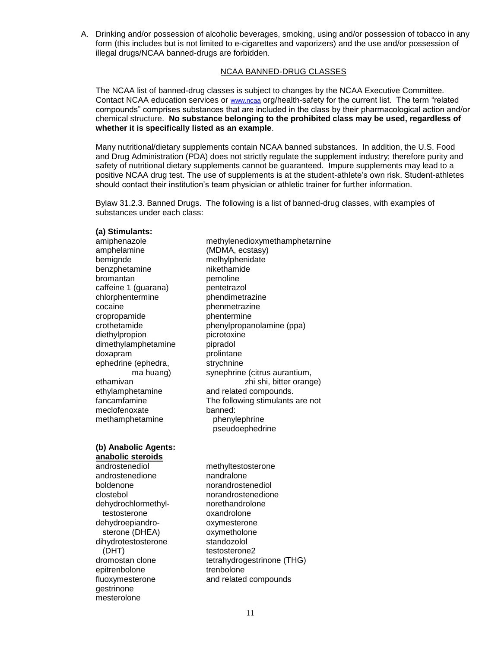A. Drinking and/or possession of alcoholic beverages, smoking, using and/or possession of tobacco in any form (this includes but is not limited to e-cigarettes and vaporizers) and the use and/or possession of illegal drugs/NCAA banned-drugs are forbidden.

#### NCAA BANNED-DRUG CLASSES

The NCAA list of banned-drug classes is subject to changes by the NCAA Executive Committee. Contact NCAA education services or [www.ncaa](http://www.ncaa/) org/health-safety for the current list. The term "related compounds" comprises substances that are included in the class by their pharmacological action and/or chemical structure. **No substance belonging to the prohibited class may be used, regardless of whether it is specifically listed as an example**.

Many nutritional/dietary supplements contain NCAA banned substances. In addition, the U.S. Food and Drug Administration (PDA) does not strictly regulate the supplement industry; therefore purity and safety of nutritional dietary supplements cannot be guaranteed. Impure supplements may lead to a positive NCAA drug test. The use of supplements is at the student-athlete's own risk. Student-athletes should contact their institution's team physician or athletic trainer for further information.

Bylaw 31.2.3. Banned Drugs. The following is a list of banned-drug classes, with examples of substances under each class:

#### **(a) Stimulants:**

amiphenazole methylenedioxymethamphetarnine amphelamine (MDMA, ecstasy) bemignde melhylphenidate<br>
benzphetamine mikethamide benzphetamine bromantan **pemoline** caffeine 1 (guarana) pentetrazol chlorphentermine phendimetrazine cocaine phenmetrazine cropropamide phentermine diethylpropion picrotoxine dimethylamphetamine pipradol doxapram prolintane ephedrine (ephedra, strychnine meclofenoxate banned:

## **(b) Anabolic Agents:**

**anabolic steroids** androstenediol methyltestosterone androstenedione nandralone boldenone norandrostenediol clostebol norandrostenedione dehydrochlormethyl- norethandrolone testosterone oxandrolone dehydroepiandro-<br>sterone (DHEA) oxymetholone sterone (DHEA) dihydrotestosterone standozolol (DHT) testosterone2 epitrenbolone trenbolone gestrinone mesterolone

crothetamide phenylpropanolamine (ppa) ma huang) synephrine (citrus aurantium, ethamivan zhi shi, bitter orange) ethylamphetamine and related compounds.<br>
fancamfamine The following stimulants The following stimulants are not methamphetamine phenylephrine pseudoephedrine

dromostan clone tetrahydrogestrinone (THG) fluoxymesterone and related compounds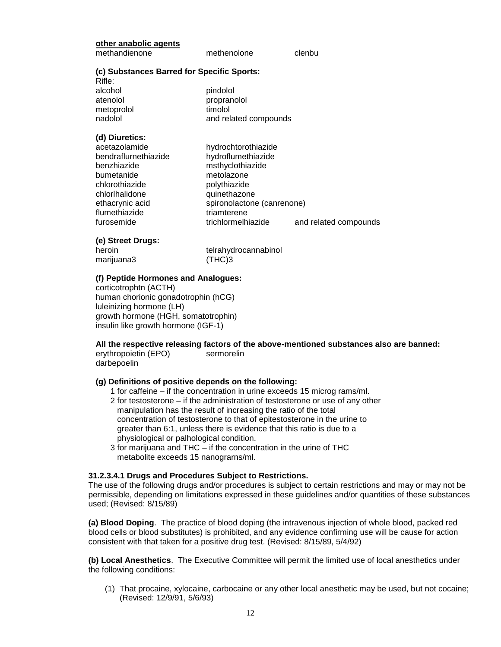| other anabolic agents |  |
|-----------------------|--|
|                       |  |

methandienone methenolone clenbu

**(c) Substances Barred for Specific Sports:**

| Rifle:     |  |
|------------|--|
| alcohol    |  |
| atenolol   |  |
| metoprolol |  |

| кіпе:      |                       |
|------------|-----------------------|
| alcohol    | pindolol              |
| atenolol   | propranolol           |
| metoprolol | timolol               |
| nadolol    | and related compounds |
|            |                       |

#### **(d) Diuretics:**

| acetazolamide        | hydrochtorothiazide        |                       |
|----------------------|----------------------------|-----------------------|
| bendraflurnethiazide | hydroflumethiazide         |                       |
| benzhiazide          | msthyclothiazide           |                       |
| bumetanide           | metolazone                 |                       |
| chlorothiazide       | polythiazide               |                       |
| chlorlhalidone       | quinethazone               |                       |
| ethacrynic acid      | spironolactone (canrenone) |                       |
| flumethiazide        | triamterene                |                       |
| furosemide           | trichlormelhiazide         | and related compounds |
|                      |                            |                       |

#### **(e) Street Drugs:**

| heroin     | telrahydrocannabinol |
|------------|----------------------|
| marijuana3 | (THC)3               |

#### **(f) Peptide Hormones and Analogues:**

corticotrophtn (ACTH) human chorionic gonadotrophin (hCG) luleinizing hormone (LH) growth hormone (HGH, somatotrophin) insulin like growth hormone (IGF-1)

**All the respective releasing factors of the above-mentioned substances also are banned:** erythropoietin (EPO) sermorelin

### darbepoelin

#### **(g) Definitions of positive depends on the following:**

- 1 for caffeine if the concentration in urine exceeds 15 microg rams/ml.
- 2 for testosterone if the administration of testosterone or use of any other manipulation has the result of increasing the ratio of the total concentration of testosterone to that of epitestosterone in the urine to greater than 6:1, unless there is evidence that this ratio is due to a physiological or palhological condition.
- 3 for marijuana and THC if the concentration in the urine of THC metabolite exceeds 15 nanograrns/ml.

#### **31.2.3.4.1 Drugs and Procedures Subject to Restrictions.**

The use of the following drugs and/or procedures is subject to certain restrictions and may or may not be permissible, depending on limitations expressed in these guidelines and/or quantities of these substances used; (Revised: 8/15/89)

**(a) Blood Doping**. The practice of blood doping (the intravenous injection of whole blood, packed red blood cells or blood substitutes) is prohibited, and any evidence confirming use will be cause for action consistent with that taken for a positive drug test. (Revised: 8/15/89, 5/4/92)

**(b) Local Anesthetics**. The Executive Committee will permit the limited use of local anesthetics under the following conditions:

(1) That procaine, xylocaine, carbocaine or any other local anesthetic may be used, but not cocaine; (Revised: 12/9/91, 5/6/93)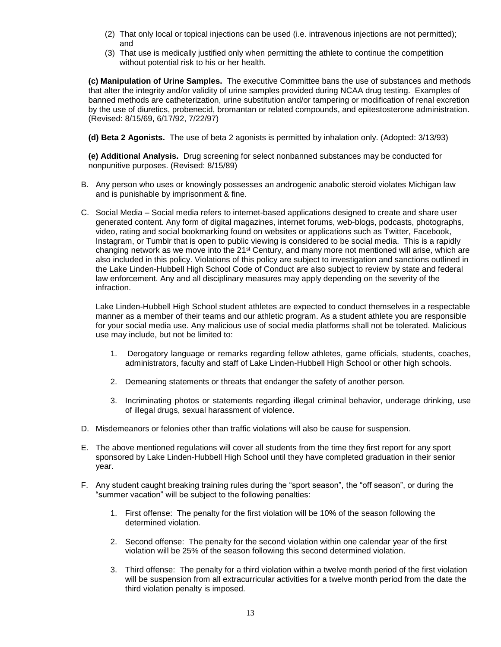- (2) That only local or topical injections can be used (i.e. intravenous injections are not permitted); and
- (3) That use is medically justified only when permitting the athlete to continue the competition without potential risk to his or her health.

**(c) Manipulation of Urine Samples.** The executive Committee bans the use of substances and methods that alter the integrity and/or validity of urine samples provided during NCAA drug testing. Examples of banned methods are catheterization, urine substitution and/or tampering or modification of renal excretion by the use of diuretics, probenecid, bromantan or related compounds, and epitestosterone administration. (Revised: 8/15/69, 6/17/92, 7/22/97)

**(d) Beta 2 Agonists.** The use of beta 2 agonists is permitted by inhalation only. (Adopted: 3/13/93)

**(e) Additional Analysis.** Drug screening for select nonbanned substances may be conducted for nonpunitive purposes. (Revised: 8/15/89)

- B. Any person who uses or knowingly possesses an androgenic anabolic steroid violates Michigan law and is punishable by imprisonment & fine.
- C. Social Media Social media refers to internet-based applications designed to create and share user generated content. Any form of digital magazines, internet forums, web-blogs, podcasts, photographs, video, rating and social bookmarking found on websites or applications such as Twitter, Facebook, Instagram, or Tumblr that is open to public viewing is considered to be social media. This is a rapidly changing network as we move into the 21st Century, and many more not mentioned will arise, which are also included in this policy. Violations of this policy are subject to investigation and sanctions outlined in the Lake Linden-Hubbell High School Code of Conduct are also subject to review by state and federal law enforcement. Any and all disciplinary measures may apply depending on the severity of the infraction.

Lake Linden-Hubbell High School student athletes are expected to conduct themselves in a respectable manner as a member of their teams and our athletic program. As a student athlete you are responsible for your social media use. Any malicious use of social media platforms shall not be tolerated. Malicious use may include, but not be limited to:

- 1. Derogatory language or remarks regarding fellow athletes, game officials, students, coaches, administrators, faculty and staff of Lake Linden-Hubbell High School or other high schools.
- 2. Demeaning statements or threats that endanger the safety of another person.
- 3. Incriminating photos or statements regarding illegal criminal behavior, underage drinking, use of illegal drugs, sexual harassment of violence.
- D. Misdemeanors or felonies other than traffic violations will also be cause for suspension.
- E. The above mentioned regulations will cover all students from the time they first report for any sport sponsored by Lake Linden-Hubbell High School until they have completed graduation in their senior year.
- F. Any student caught breaking training rules during the "sport season", the "off season", or during the "summer vacation" will be subject to the following penalties:
	- 1. First offense: The penalty for the first violation will be 10% of the season following the determined violation.
	- 2. Second offense: The penalty for the second violation within one calendar year of the first violation will be 25% of the season following this second determined violation.
	- 3. Third offense: The penalty for a third violation within a twelve month period of the first violation will be suspension from all extracurricular activities for a twelve month period from the date the third violation penalty is imposed.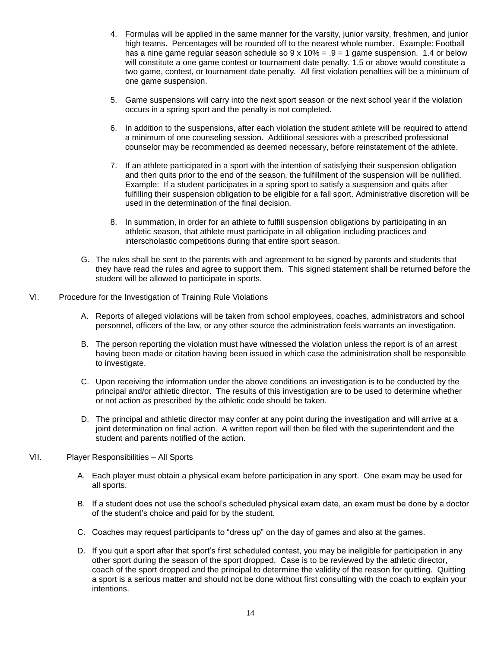- 4. Formulas will be applied in the same manner for the varsity, junior varsity, freshmen, and junior high teams. Percentages will be rounded off to the nearest whole number. Example: Football has a nine game regular season schedule so  $9 \times 10\% = .9 = 1$  game suspension. 1.4 or below will constitute a one game contest or tournament date penalty. 1.5 or above would constitute a two game, contest, or tournament date penalty. All first violation penalties will be a minimum of one game suspension.
- 5. Game suspensions will carry into the next sport season or the next school year if the violation occurs in a spring sport and the penalty is not completed.
- 6. In addition to the suspensions, after each violation the student athlete will be required to attend a minimum of one counseling session. Additional sessions with a prescribed professional counselor may be recommended as deemed necessary, before reinstatement of the athlete.
- 7. If an athlete participated in a sport with the intention of satisfying their suspension obligation and then quits prior to the end of the season, the fulfillment of the suspension will be nullified. Example: If a student participates in a spring sport to satisfy a suspension and quits after fulfilling their suspension obligation to be eligible for a fall sport. Administrative discretion will be used in the determination of the final decision.
- 8. In summation, in order for an athlete to fulfill suspension obligations by participating in an athletic season, that athlete must participate in all obligation including practices and interscholastic competitions during that entire sport season.
- G. The rules shall be sent to the parents with and agreement to be signed by parents and students that they have read the rules and agree to support them. This signed statement shall be returned before the student will be allowed to participate in sports.
- VI. Procedure for the Investigation of Training Rule Violations
	- A. Reports of alleged violations will be taken from school employees, coaches, administrators and school personnel, officers of the law, or any other source the administration feels warrants an investigation.
	- B. The person reporting the violation must have witnessed the violation unless the report is of an arrest having been made or citation having been issued in which case the administration shall be responsible to investigate.
	- C. Upon receiving the information under the above conditions an investigation is to be conducted by the principal and/or athletic director. The results of this investigation are to be used to determine whether or not action as prescribed by the athletic code should be taken.
	- D. The principal and athletic director may confer at any point during the investigation and will arrive at a joint determination on final action. A written report will then be filed with the superintendent and the student and parents notified of the action.
- VII. Player Responsibilities All Sports
	- A. Each player must obtain a physical exam before participation in any sport. One exam may be used for all sports.
	- B. If a student does not use the school's scheduled physical exam date, an exam must be done by a doctor of the student's choice and paid for by the student.
	- C. Coaches may request participants to "dress up" on the day of games and also at the games.
	- D. If you quit a sport after that sport's first scheduled contest, you may be ineligible for participation in any other sport during the season of the sport dropped. Case is to be reviewed by the athletic director, coach of the sport dropped and the principal to determine the validity of the reason for quitting. Quitting a sport is a serious matter and should not be done without first consulting with the coach to explain your intentions.